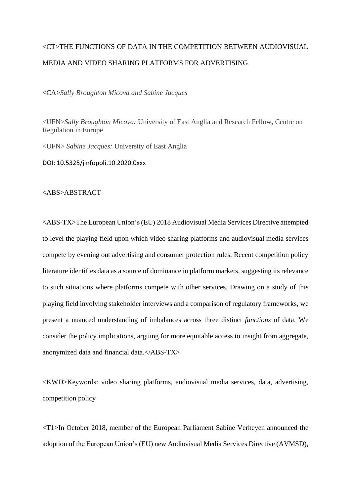# <CT>THE FUNCTIONS OF DATA IN THE COMPETITION BETWEEN AUDIOVISUAL MEDIA AND VIDEO SHARING PLATFORMS FOR ADVERTISING

<CA>*Sally Broughton Micova and Sabine Jacques*

<UFN>*Sally Broughton Micova:* University of East Anglia and Research Fellow, Centre on Regulation in Europe

<UFN> *Sabine Jacques:* University of East Anglia

DOI: 10.5325/jinfopoli.10.2020.0xxx

## <ABS>ABSTRACT

<ABS-TX>The European Union's(EU) 2018 Audiovisual Media Services Directive attempted to level the playing field upon which video sharing platforms and audiovisual media services compete by evening out advertising and consumer protection rules. Recent competition policy literature identifies data as a source of dominance in platform markets, suggesting its relevance to such situations where platforms compete with other services. Drawing on a study of this playing field involving stakeholder interviews and a comparison of regulatory frameworks, we present a nuanced understanding of imbalances across three distinct *functions* of data. We consider the policy implications, arguing for more equitable access to insight from aggregate, anonymized data and financial data.</ABS-TX>

<KWD>Keywords: video sharing platforms, audiovisual media services, data, advertising, competition policy

<T1>In October 2018, member of the European Parliament Sabine Verheyen announced the adoption of the European Union's (EU) new Audiovisual Media Services Directive (AVMSD),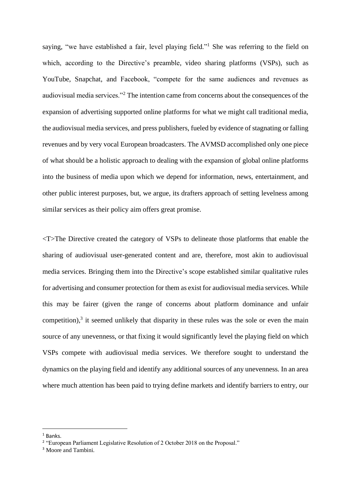saying, "we have established a fair, level playing field."<sup>1</sup> She was referring to the field on which, according to the Directive's preamble, video sharing platforms (VSPs), such as YouTube, Snapchat, and Facebook, "compete for the same audiences and revenues as audiovisual media services."<sup>2</sup> The intention came from concerns about the consequences of the expansion of advertising supported online platforms for what we might call traditional media, the audiovisual media services, and press publishers, fueled by evidence of stagnating or falling revenues and by very vocal European broadcasters. The AVMSD accomplished only one piece of what should be a holistic approach to dealing with the expansion of global online platforms into the business of media upon which we depend for information, news, entertainment, and other public interest purposes, but, we argue, its drafters approach of setting levelness among similar services as their policy aim offers great promise.

<T>The Directive created the category of VSPs to delineate those platforms that enable the sharing of audiovisual user-generated content and are, therefore, most akin to audiovisual media services. Bringing them into the Directive's scope established similar qualitative rules for advertising and consumer protection for them as exist for audiovisual media services. While this may be fairer (given the range of concerns about platform dominance and unfair competition), $3$  it seemed unlikely that disparity in these rules was the sole or even the main source of any unevenness, or that fixing it would significantly level the playing field on which VSPs compete with audiovisual media services. We therefore sought to understand the dynamics on the playing field and identify any additional sources of any unevenness. In an area where much attention has been paid to trying define markets and identify barriers to entry, our

 $1$  Banks.

<sup>&</sup>lt;sup>2</sup> "European Parliament Legislative Resolution of 2 October 2018 on the Proposal."

<sup>&</sup>lt;sup>3</sup> Moore and Tambini.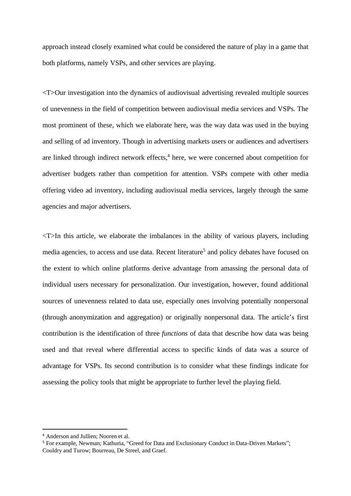approach instead closely examined what could be considered the nature of play in a game that both platforms, namely VSPs, and other services are playing.

<T>Our investigation into the dynamics of audiovisual advertising revealed multiple sources of unevenness in the field of competition between audiovisual media services and VSPs. The most prominent of these, which we elaborate here, was the way data was used in the buying and selling of ad inventory. Though in advertising markets users or audiences and advertisers are linked through indirect network effects, 4 here, we were concerned about competition for advertiser budgets rather than competition for attention. VSPs compete with other media offering video ad inventory, including audiovisual media services, largely through the same agencies and major advertisers.

 $\langle$ T $>$ In this article, we elaborate the imbalances in the ability of various players, including media agencies, to access and use data. Recent literature<sup>5</sup> and policy debates have focused on the extent to which online platforms derive advantage from amassing the personal data of individual users necessary for personalization. Our investigation, however, found additional sources of unevenness related to data use, especially ones involving potentially nonpersonal (through anonymization and aggregation) or originally nonpersonal data. The article's first contribution is the identification of three *functions* of data that describe how data was being used and that reveal where differential access to specific kinds of data was a source of advantage for VSPs. Its second contribution is to consider what these findings indicate for assessing the policy tools that might be appropriate to further level the playing field.

<sup>4</sup> Anderson and Jullien; Nooren et al.

<sup>&</sup>lt;sup>5</sup> For example, Newman: Kathuria, "Greed for Data and Exclusionary Conduct in Data-Driven Markets"; Couldry and Turow; Bourreau, De Streel, and Graef.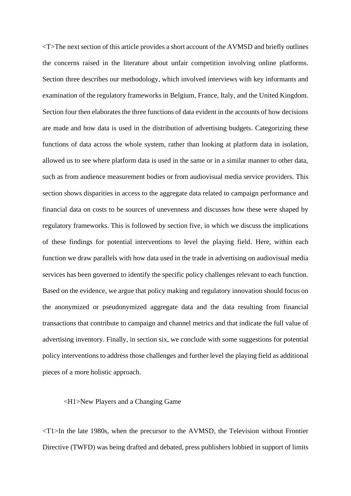<T>The next section of this article provides a short account of the AVMSD and briefly outlines the concerns raised in the literature about unfair competition involving online platforms. Section three describes our methodology, which involved interviews with key informants and examination of the regulatory frameworks in Belgium, France, Italy, and the United Kingdom. Section four then elaborates the three functions of data evident in the accounts of how decisions are made and how data is used in the distribution of advertising budgets. Categorizing these functions of data across the whole system, rather than looking at platform data in isolation, allowed us to see where platform data is used in the same or in a similar manner to other data, such as from audience measurement bodies or from audiovisual media service providers. This section shows disparities in access to the aggregate data related to campaign performance and financial data on costs to be sources of unevenness and discusses how these were shaped by regulatory frameworks. This is followed by section five, in which we discuss the implications of these findings for potential interventions to level the playing field. Here, within each function we draw parallels with how data used in the trade in advertising on audiovisual media services has been governed to identify the specific policy challenges relevant to each function. Based on the evidence, we argue that policy making and regulatory innovation should focus on the anonymized or pseudonymized aggregate data and the data resulting from financial transactions that contribute to campaign and channel metrics and that indicate the full value of advertising inventory. Finally, in section six, we conclude with some suggestions for potential policy interventions to address those challenges and further level the playing field as additional pieces of a more holistic approach.

#### <H1>New Players and a Changing Game

 $\langle$ T1 $>$ In the late 1980s, when the precursor to the AVMSD, the Television without Frontier Directive (TWFD) was being drafted and debated, press publishers lobbied in support of limits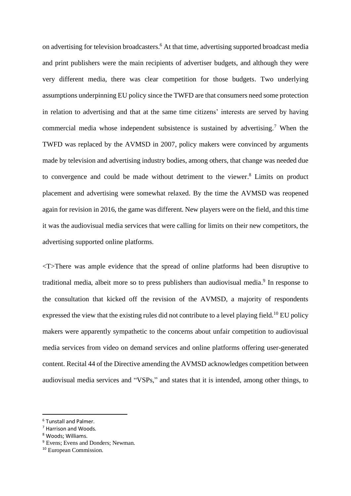on advertising for television broadcasters. <sup>6</sup> At that time, advertising supported broadcast media and print publishers were the main recipients of advertiser budgets, and although they were very different media, there was clear competition for those budgets. Two underlying assumptions underpinning EU policy since the TWFD are that consumers need some protection in relation to advertising and that at the same time citizens' interests are served by having commercial media whose independent subsistence is sustained by advertising.<sup>7</sup> When the TWFD was replaced by the AVMSD in 2007, policy makers were convinced by arguments made by television and advertising industry bodies, among others, that change was needed due to convergence and could be made without detriment to the viewer. <sup>8</sup> Limits on product placement and advertising were somewhat relaxed. By the time the AVMSD was reopened again for revision in 2016, the game was different. New players were on the field, and this time it was the audiovisual media services that were calling for limits on their new competitors, the advertising supported online platforms.

<T>There was ample evidence that the spread of online platforms had been disruptive to traditional media, albeit more so to press publishers than audiovisual media.<sup>9</sup> In response to the consultation that kicked off the revision of the AVMSD, a majority of respondents expressed the view that the existing rules did not contribute to a level playing field.<sup>10</sup> EU policy makers were apparently sympathetic to the concerns about unfair competition to audiovisual media services from video on demand services and online platforms offering user-generated content. Recital 44 of the Directive amending the AVMSD acknowledges competition between audiovisual media services and "VSPs," and states that it is intended, among other things, to

<sup>6</sup> Tunstall and Palmer.

<sup>7</sup> Harrison and Woods.

<sup>8</sup> Woods; Williams.

<sup>&</sup>lt;sup>9</sup> Evens: Evens and Donders: Newman.

<sup>10</sup> European Commission.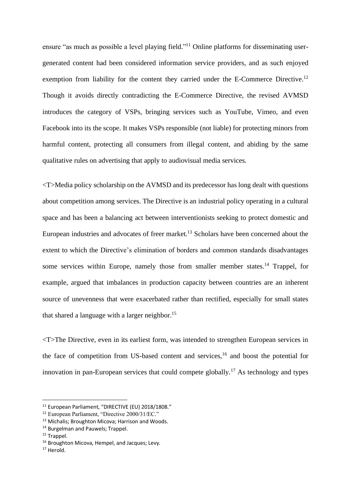ensure "as much as possible a level playing field."<sup>11</sup> Online platforms for disseminating usergenerated content had been considered information service providers, and as such enjoyed exemption from liability for the content they carried under the E-Commerce Directive.<sup>12</sup> Though it avoids directly contradicting the E-Commerce Directive, the revised AVMSD introduces the category of VSPs, bringing services such as YouTube, Vimeo, and even Facebook into its the scope. It makes VSPs responsible (not liable) for protecting minors from harmful content, protecting all consumers from illegal content, and abiding by the same qualitative rules on advertising that apply to audiovisual media services.

<T>Media policy scholarship on the AVMSD and its predecessor has long dealt with questions about competition among services. The Directive is an industrial policy operating in a cultural space and has been a balancing act between interventionists seeking to protect domestic and European industries and advocates of freer market.<sup>13</sup> Scholars have been concerned about the extent to which the Directive's elimination of borders and common standards disadvantages some services within Europe, namely those from smaller member states.<sup>14</sup> Trappel, for example, argued that imbalances in production capacity between countries are an inherent source of unevenness that were exacerbated rather than rectified, especially for small states that shared a language with a larger neighbor.<sup>15</sup>

<T>The Directive, even in its earliest form, was intended to strengthen European services in the face of competition from US-based content and services,  $16$  and boost the potential for innovation in pan-European services that could compete globally.<sup>17</sup> As technology and types

<sup>&</sup>lt;sup>11</sup> European Parliament, "DIRECTIVE (EU) 2018/1808."

<sup>12</sup> European Parliament, "Directive 2000/31/EC."

<sup>&</sup>lt;sup>13</sup> Michalis; Broughton Micova; Harrison and Woods.

<sup>&</sup>lt;sup>14</sup> Burgelman and Pauwels; Trappel.

 $15$  Trappel.

<sup>&</sup>lt;sup>16</sup> Broughton Micova, Hempel, and Jacques: Levy.

<sup>17</sup> Herold.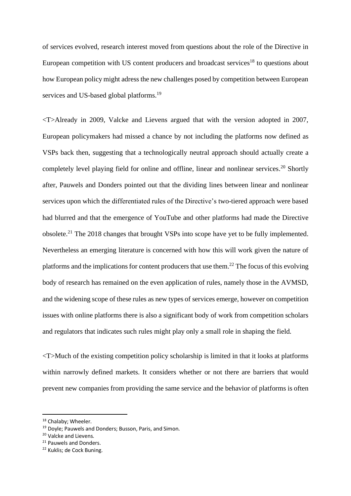of services evolved, research interest moved from questions about the role of the Directive in European competition with US content producers and broadcast services<sup>18</sup> to questions about how European policy might adress the new challenges posed by competition between European services and US-based global platforms.<sup>19</sup>

<T>Already in 2009, Valcke and Lievens argued that with the version adopted in 2007, European policymakers had missed a chance by not including the platforms now defined as VSPs back then, suggesting that a technologically neutral approach should actually create a completely level playing field for online and offline, linear and nonlinear services.<sup>20</sup> Shortly after, Pauwels and Donders pointed out that the dividing lines between linear and nonlinear services upon which the differentiated rules of the Directive's two-tiered approach were based had blurred and that the emergence of YouTube and other platforms had made the Directive obsolete.<sup>21</sup> The 2018 changes that brought VSPs into scope have yet to be fully implemented. Nevertheless an emerging literature is concerned with how this will work given the nature of platforms and the implications for content producers that use them.<sup>22</sup> The focus of this evolving body of research has remained on the even application of rules, namely those in the AVMSD, and the widening scope of these rules as new types of services emerge, however on competition issues with online platforms there is also a significant body of work from competition scholars and regulators that indicates such rules might play only a small role in shaping the field.

<T>Much of the existing competition policy scholarship is limited in that it looks at platforms within narrowly defined markets. It considers whether or not there are barriers that would prevent new companies from providing the same service and the behavior of platforms is often

<sup>&</sup>lt;sup>18</sup> Chalaby; Wheeler.

<sup>&</sup>lt;sup>19</sup> Doyle; Pauwels and Donders; Busson, Paris, and Simon.

<sup>20</sup> Valcke and Lievens.

<sup>21</sup> Pauwels and Donders.

<sup>22</sup> Kuklis; de Cock Buning.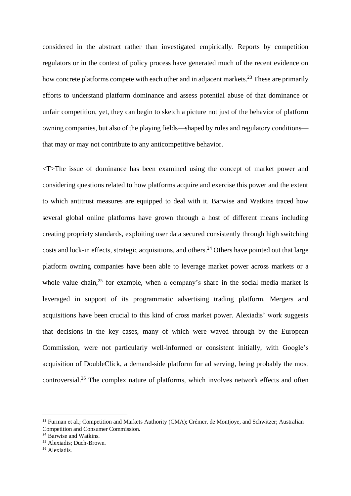considered in the abstract rather than investigated empirically. Reports by competition regulators or in the context of policy process have generated much of the recent evidence on how concrete platforms compete with each other and in adjacent markets.<sup>23</sup> These are primarily efforts to understand platform dominance and assess potential abuse of that dominance or unfair competition, yet, they can begin to sketch a picture not just of the behavior of platform owning companies, but also of the playing fields—shaped by rules and regulatory conditions that may or may not contribute to any anticompetitive behavior.

<T>The issue of dominance has been examined using the concept of market power and considering questions related to how platforms acquire and exercise this power and the extent to which antitrust measures are equipped to deal with it. Barwise and Watkins traced how several global online platforms have grown through a host of different means including creating propriety standards, exploiting user data secured consistently through high switching costs and lock-in effects, strategic acquisitions, and others.<sup>24</sup> Others have pointed out that large platform owning companies have been able to leverage market power across markets or a whole value chain,<sup>25</sup> for example, when a company's share in the social media market is leveraged in support of its programmatic advertising trading platform. Mergers and acquisitions have been crucial to this kind of cross market power. Alexiadis' work suggests that decisions in the key cases, many of which were waved through by the European Commission, were not particularly well-informed or consistent initially, with Google's acquisition of DoubleClick, a demand-side platform for ad serving, being probably the most controversial.<sup>26</sup> The complex nature of platforms, which involves network effects and often

<sup>&</sup>lt;sup>23</sup> Furman et al.; Competition and Markets Authority (CMA); Crémer, de Montjoye, and Schwitzer; Australian Competition and Consumer Commission.

<sup>&</sup>lt;sup>24</sup> Barwise and Watkins.

<sup>25</sup> Alexiadis; Duch-Brown.

<sup>26</sup> Alexiadis.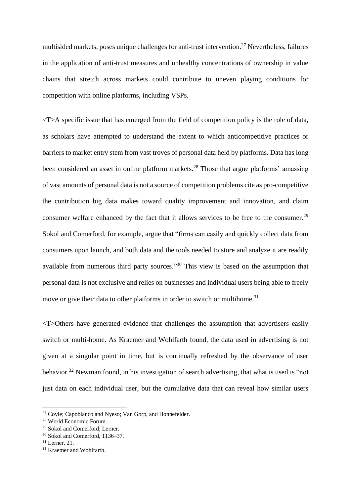multisided markets, poses unique challenges for anti-trust intervention.<sup>27</sup> Nevertheless, failures in the application of anti-trust measures and unhealthy concentrations of ownership in value chains that stretch across markets could contribute to uneven playing conditions for competition with online platforms, including VSPs.

<T>A specific issue that has emerged from the field of competition policy is the role of data, as scholars have attempted to understand the extent to which anticompetitive practices or barriers to market entry stem from vast troves of personal data held by platforms. Data has long been considered an asset in online platform markets.<sup>28</sup> Those that argue platforms' amassing of vast amounts of personal data is not a source of competition problems cite as pro-competitive the contribution big data makes toward quality improvement and innovation, and claim consumer welfare enhanced by the fact that it allows services to be free to the consumer.<sup>29</sup> Sokol and Comerford, for example, argue that "firms can easily and quickly collect data from consumers upon launch, and both data and the tools needed to store and analyze it are readily available from numerous third party sources."<sup>30</sup> This view is based on the assumption that personal data is not exclusive and relies on businesses and individual users being able to freely move or give their data to other platforms in order to switch or multihome.<sup>31</sup>

<T>Others have generated evidence that challenges the assumption that advertisers easily switch or multi-home. As Kraemer and Wohlfarth found, the data used in advertising is not given at a singular point in time, but is continually refreshed by the observance of user behavior.<sup>32</sup> Newman found, in his investigation of search advertising, that what is used is "not just data on each individual user, but the cumulative data that can reveal how similar users

<sup>27</sup> Coyle; Capobianco and Nyeso; Van Gorp, and Honnefelder.

<sup>28</sup> World Economic Forum.

<sup>29</sup> Sokol and Comerford; Lerner.

<sup>30</sup> Sokol and Comerford, 1136–37.

<sup>31</sup> Lerner, 21.

<sup>&</sup>lt;sup>32</sup> Kraemer and Wohlfarth.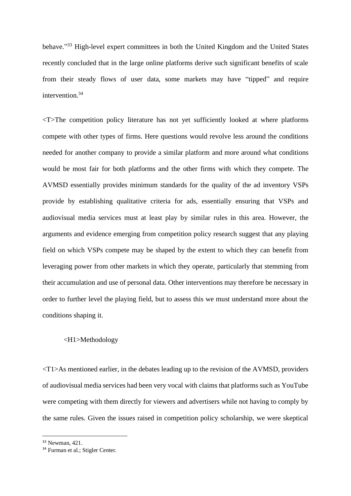behave."<sup>33</sup> High-level expert committees in both the United Kingdom and the United States recently concluded that in the large online platforms derive such significant benefits of scale from their steady flows of user data, some markets may have "tipped" and require intervention.<sup>34</sup>

<T>The competition policy literature has not yet sufficiently looked at where platforms compete with other types of firms. Here questions would revolve less around the conditions needed for another company to provide a similar platform and more around what conditions would be most fair for both platforms and the other firms with which they compete. The AVMSD essentially provides minimum standards for the quality of the ad inventory VSPs provide by establishing qualitative criteria for ads, essentially ensuring that VSPs and audiovisual media services must at least play by similar rules in this area. However, the arguments and evidence emerging from competition policy research suggest that any playing field on which VSPs compete may be shaped by the extent to which they can benefit from leveraging power from other markets in which they operate, particularly that stemming from their accumulation and use of personal data. Other interventions may therefore be necessary in order to further level the playing field, but to assess this we must understand more about the conditions shaping it.

## <H1>Methodology

 $\langle T1\rangle$ As mentioned earlier, in the debates leading up to the revision of the AVMSD, providers of audiovisual media services had been very vocal with claims that platforms such as YouTube were competing with them directly for viewers and advertisers while not having to comply by the same rules. Given the issues raised in competition policy scholarship, we were skeptical

<sup>33</sup> Newman, 421.

<sup>34</sup> Furman et al.; Stigler Center.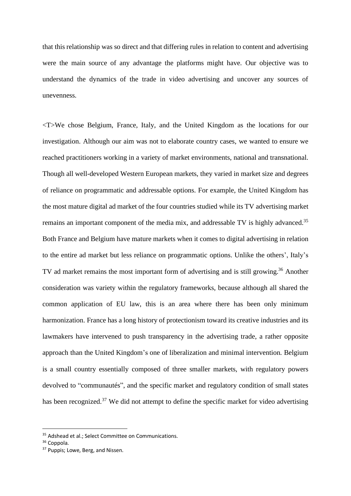that this relationship was so direct and that differing rules in relation to content and advertising were the main source of any advantage the platforms might have. Our objective was to understand the dynamics of the trade in video advertising and uncover any sources of unevenness.

<T>We chose Belgium, France, Italy, and the United Kingdom as the locations for our investigation. Although our aim was not to elaborate country cases, we wanted to ensure we reached practitioners working in a variety of market environments, national and transnational. Though all well-developed Western European markets, they varied in market size and degrees of reliance on programmatic and addressable options. For example, the United Kingdom has the most mature digital ad market of the four countries studied while its TV advertising market remains an important component of the media mix, and addressable TV is highly advanced.<sup>35</sup> Both France and Belgium have mature markets when it comes to digital advertising in relation to the entire ad market but less reliance on programmatic options. Unlike the others', Italy's TV ad market remains the most important form of advertising and is still growing.<sup>36</sup> Another consideration was variety within the regulatory frameworks, because although all shared the common application of EU law, this is an area where there has been only minimum harmonization. France has a long history of protectionism toward its creative industries and its lawmakers have intervened to push transparency in the advertising trade, a rather opposite approach than the United Kingdom's one of liberalization and minimal intervention. Belgium is a small country essentially composed of three smaller markets, with regulatory powers devolved to "communautés", and the specific market and regulatory condition of small states has been recognized.<sup>37</sup> We did not attempt to define the specific market for video advertising

<sup>&</sup>lt;sup>35</sup> Adshead et al.: Select Committee on Communications.

<sup>36</sup> Coppola.

<sup>&</sup>lt;sup>37</sup> Puppis; Lowe, Berg, and Nissen.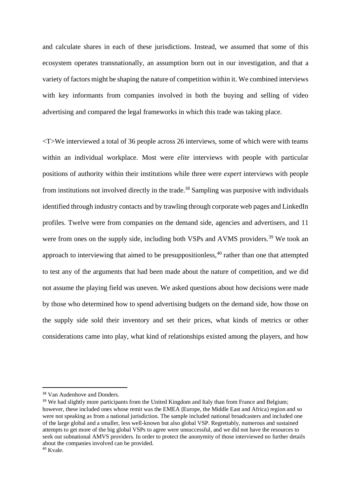and calculate shares in each of these jurisdictions. Instead, we assumed that some of this ecosystem operates transnationally, an assumption born out in our investigation, and that a variety of factors might be shaping the nature of competition within it. We combined interviews with key informants from companies involved in both the buying and selling of video advertising and compared the legal frameworks in which this trade was taking place.

<T>We interviewed a total of 36 people across 26 interviews, some of which were with teams within an individual workplace. Most were *elite* interviews with people with particular positions of authority within their institutions while three were *expert* interviews with people from institutions not involved directly in the trade.<sup>38</sup> Sampling was purposive with individuals identified through industry contacts and by trawling through corporate web pages and LinkedIn profiles. Twelve were from companies on the demand side, agencies and advertisers, and 11 were from ones on the supply side, including both VSPs and AVMS providers.<sup>39</sup> We took an approach to interviewing that aimed to be presuppositionless,<sup>40</sup> rather than one that attempted to test any of the arguments that had been made about the nature of competition, and we did not assume the playing field was uneven. We asked questions about how decisions were made by those who determined how to spend advertising budgets on the demand side, how those on the supply side sold their inventory and set their prices, what kinds of metrics or other considerations came into play, what kind of relationships existed among the players, and how

<sup>38</sup> Van Audenhove and Donders.

<sup>&</sup>lt;sup>39</sup> We had slightly more participants from the United Kingdom and Italy than from France and Belgium; however, these included ones whose remit was the EMEA (Europe, the Middle East and Africa) region and so were not speaking as from a national jurisdiction. The sample included national broadcasters and included one of the large global and a smaller, less well-known but also global VSP. Regrettably, numerous and sustained attempts to get more of the big global VSPs to agree were unsuccessful, and we did not have the resources to seek out subnational AMVS providers. In order to protect the anonymity of those interviewed no further details about the companies involved can be provided.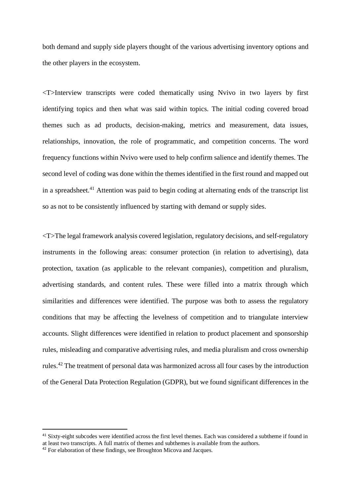both demand and supply side players thought of the various advertising inventory options and the other players in the ecosystem.

<T>Interview transcripts were coded thematically using Nvivo in two layers by first identifying topics and then what was said within topics. The initial coding covered broad themes such as ad products, decision-making, metrics and measurement, data issues, relationships, innovation, the role of programmatic, and competition concerns. The word frequency functions within Nvivo were used to help confirm salience and identify themes. The second level of coding was done within the themes identified in the first round and mapped out in a spreadsheet.<sup>41</sup> Attention was paid to begin coding at alternating ends of the transcript list so as not to be consistently influenced by starting with demand or supply sides.

<T>The legal framework analysis covered legislation, regulatory decisions, and self-regulatory instruments in the following areas: consumer protection (in relation to advertising), data protection, taxation (as applicable to the relevant companies), competition and pluralism, advertising standards, and content rules. These were filled into a matrix through which similarities and differences were identified. The purpose was both to assess the regulatory conditions that may be affecting the levelness of competition and to triangulate interview accounts. Slight differences were identified in relation to product placement and sponsorship rules, misleading and comparative advertising rules, and media pluralism and cross ownership rules.<sup>42</sup> The treatment of personal data was harmonized across all four cases by the introduction of the General Data Protection Regulation (GDPR), but we found significant differences in the

<sup>&</sup>lt;sup>41</sup> Sixty-eight subcodes were identified across the first level themes. Each was considered a subtheme if found in at least two transcripts. A full matrix of themes and subthemes is available from the authors.

<sup>&</sup>lt;sup>42</sup> For elaboration of these findings, see Broughton Micova and Jacques.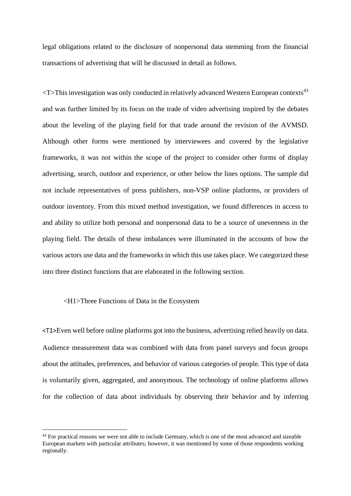legal obligations related to the disclosure of nonpersonal data stemming from the financial transactions of advertising that will be discussed in detail as follows.

 $\langle$ T>This investigation was only conducted in relatively advanced Western European contexts<sup>43</sup> and was further limited by its focus on the trade of video advertising inspired by the debates about the leveling of the playing field for that trade around the revision of the AVMSD. Although other forms were mentioned by interviewees and covered by the legislative frameworks, it was not within the scope of the project to consider other forms of display advertising, search, outdoor and experience, or other below the lines options. The sample did not include representatives of press publishers, non-VSP online platforms, or providers of outdoor inventory. From this mixed method investigation, we found differences in access to and ability to utilize both personal and nonpersonal data to be a source of unevenness in the playing field. The details of these imbalances were illuminated in the accounts of how the various actors use data and the frameworks in which this use takes place. We categorized these into three distinct functions that are elaborated in the following section.

## <H1>Three Functions of Data in the Ecosystem

<T1>Even well before online platforms got into the business, advertising relied heavily on data. Audience measurement data was combined with data from panel surveys and focus groups about the attitudes, preferences, and behavior of various categories of people. This type of data is voluntarily given, aggregated, and anonymous. The technology of online platforms allows for the collection of data about individuals by observing their behavior and by inferring

<sup>&</sup>lt;sup>43</sup> For practical reasons we were not able to include Germany, which is one of the most advanced and sizeable European markets with particular attributes; however, it was mentioned by some of those respondents working regionally.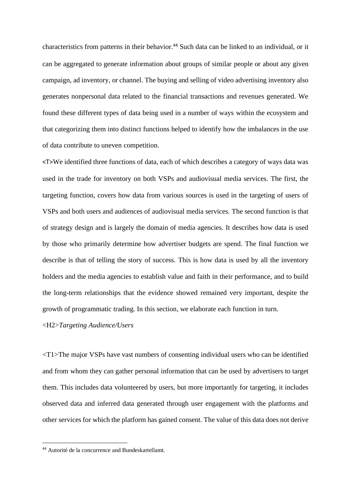characteristics from patterns in their behavior. <sup>44</sup> Such data can be linked to an individual, or it can be aggregated to generate information about groups of similar people or about any given campaign, ad inventory, or channel. The buying and selling of video advertising inventory also generates nonpersonal data related to the financial transactions and revenues generated. We found these different types of data being used in a number of ways within the ecosystem and that categorizing them into distinct functions helped to identify how the imbalances in the use of data contribute to uneven competition.

<T>We identified three functions of data, each of which describes a category of ways data was used in the trade for inventory on both VSPs and audiovisual media services. The first, the targeting function, covers how data from various sources is used in the targeting of users of VSPs and both users and audiences of audiovisual media services. The second function is that of strategy design and is largely the domain of media agencies. It describes how data is used by those who primarily determine how advertiser budgets are spend. The final function we describe is that of telling the story of success. This is how data is used by all the inventory holders and the media agencies to establish value and faith in their performance, and to build the long-term relationships that the evidence showed remained very important, despite the growth of programmatic trading. In this section, we elaborate each function in turn.

<H2>*Targeting Audience/Users*

 $\langle T1 \rangle$ The major VSPs have vast numbers of consenting individual users who can be identified and from whom they can gather personal information that can be used by advertisers to target them. This includes data volunteered by users, but more importantly for targeting, it includes observed data and inferred data generated through user engagement with the platforms and other services for which the platform has gained consent. The value of this data does not derive

<sup>44</sup> Autorité de la concurrence and Bundeskartellamt.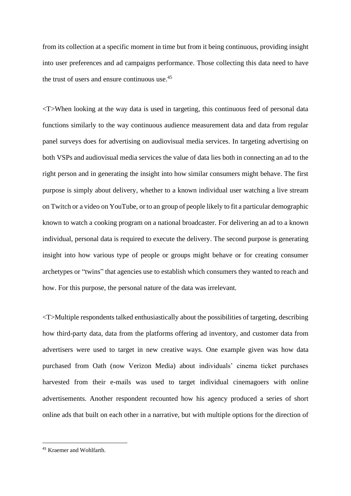from its collection at a specific moment in time but from it being continuous, providing insight into user preferences and ad campaigns performance. Those collecting this data need to have the trust of users and ensure continuous use.<sup>45</sup>

<T>When looking at the way data is used in targeting, this continuous feed of personal data functions similarly to the way continuous audience measurement data and data from regular panel surveys does for advertising on audiovisual media services. In targeting advertising on both VSPs and audiovisual media services the value of data lies both in connecting an ad to the right person and in generating the insight into how similar consumers might behave. The first purpose is simply about delivery, whether to a known individual user watching a live stream on Twitch or a video on YouTube, or to an group of people likely to fit a particular demographic known to watch a cooking program on a national broadcaster. For delivering an ad to a known individual, personal data is required to execute the delivery. The second purpose is generating insight into how various type of people or groups might behave or for creating consumer archetypes or "twins" that agencies use to establish which consumers they wanted to reach and how. For this purpose, the personal nature of the data was irrelevant.

<T>Multiple respondents talked enthusiastically about the possibilities of targeting, describing how third-party data, data from the platforms offering ad inventory, and customer data from advertisers were used to target in new creative ways. One example given was how data purchased from Oath (now Verizon Media) about individuals' cinema ticket purchases harvested from their e-mails was used to target individual cinemagoers with online advertisements. Another respondent recounted how his agency produced a series of short online ads that built on each other in a narrative, but with multiple options for the direction of

<sup>45</sup> Kraemer and Wohlfarth.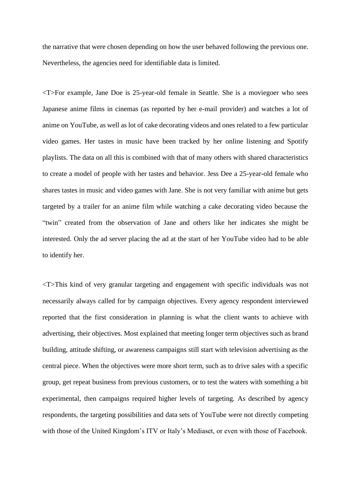the narrative that were chosen depending on how the user behaved following the previous one. Nevertheless, the agencies need for identifiable data is limited.

<T>For example, Jane Doe is 25-year-old female in Seattle. She is a moviegoer who sees Japanese anime films in cinemas (as reported by her e-mail provider) and watches a lot of anime on YouTube, as well as lot of cake decorating videos and ones related to a few particular video games. Her tastes in music have been tracked by her online listening and Spotify playlists. The data on all this is combined with that of many others with shared characteristics to create a model of people with her tastes and behavior. Jess Dee a 25-year-old female who shares tastes in music and video games with Jane. She is not very familiar with anime but gets targeted by a trailer for an anime film while watching a cake decorating video because the "twin" created from the observation of Jane and others like her indicates she might be interested. Only the ad server placing the ad at the start of her YouTube video had to be able to identify her.

<T>This kind of very granular targeting and engagement with specific individuals was not necessarily always called for by campaign objectives. Every agency respondent interviewed reported that the first consideration in planning is what the client wants to achieve with advertising, their objectives. Most explained that meeting longer term objectives such as brand building, attitude shifting, or awareness campaigns still start with television advertising as the central piece. When the objectives were more short term, such as to drive sales with a specific group, get repeat business from previous customers, or to test the waters with something a bit experimental, then campaigns required higher levels of targeting. As described by agency respondents, the targeting possibilities and data sets of YouTube were not directly competing with those of the United Kingdom's ITV or Italy's Mediaset, or even with those of Facebook.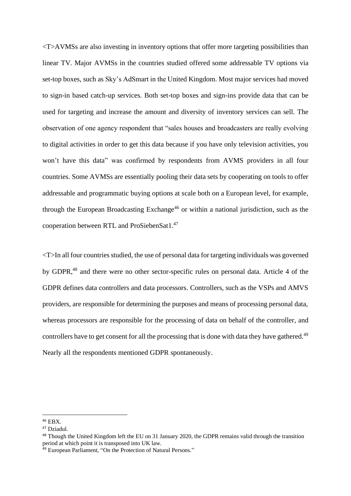<T>AVMSs are also investing in inventory options that offer more targeting possibilities than linear TV. Major AVMSs in the countries studied offered some addressable TV options via set-top boxes, such as Sky's AdSmart in the United Kingdom. Most major services had moved to sign-in based catch-up services. Both set-top boxes and sign-ins provide data that can be used for targeting and increase the amount and diversity of inventory services can sell. The observation of one agency respondent that "sales houses and broadcasters are really evolving to digital activities in order to get this data because if you have only television activities, you won't have this data" was confirmed by respondents from AVMS providers in all four countries. Some AVMSs are essentially pooling their data sets by cooperating on tools to offer addressable and programmatic buying options at scale both on a European level, for example, through the European Broadcasting Exchange<sup>46</sup> or within a national jurisdiction, such as the cooperation between RTL and ProSiebenSat1. 47

<T>In all four countries studied, the use of personal data for targeting individuals was governed by GDPR,<sup>48</sup> and there were no other sector-specific rules on personal data. Article 4 of the GDPR defines data controllers and data processors. Controllers, such as the VSPs and AMVS providers, are responsible for determining the purposes and means of processing personal data, whereas processors are responsible for the processing of data on behalf of the controller, and controllers have to get consent for all the processing that is done with data they have gathered.<sup>49</sup> Nearly all the respondents mentioned GDPR spontaneously.

<sup>46</sup> EBX.

<sup>47</sup> Dziadul.

<sup>&</sup>lt;sup>48</sup> Though the United Kingdom left the EU on 31 January 2020, the GDPR remains valid through the transition period at which point it is transposed into UK law.

<sup>49</sup> European Parliament, "On the Protection of Natural Persons."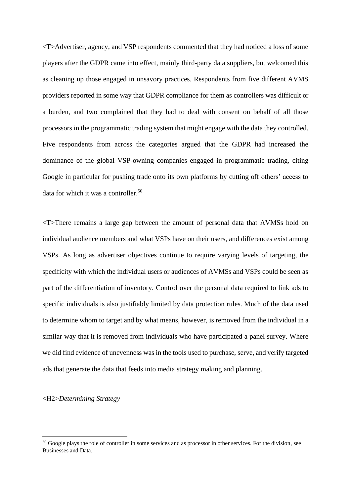<T>Advertiser, agency, and VSP respondents commented that they had noticed a loss of some players after the GDPR came into effect, mainly third-party data suppliers, but welcomed this as cleaning up those engaged in unsavory practices. Respondents from five different AVMS providers reported in some way that GDPR compliance for them as controllers was difficult or a burden, and two complained that they had to deal with consent on behalf of all those processors in the programmatic trading system that might engage with the data they controlled. Five respondents from across the categories argued that the GDPR had increased the dominance of the global VSP-owning companies engaged in programmatic trading, citing Google in particular for pushing trade onto its own platforms by cutting off others' access to data for which it was a controller. 50

<T>There remains a large gap between the amount of personal data that AVMSs hold on individual audience members and what VSPs have on their users, and differences exist among VSPs. As long as advertiser objectives continue to require varying levels of targeting, the specificity with which the individual users or audiences of AVMSs and VSPs could be seen as part of the differentiation of inventory. Control over the personal data required to link ads to specific individuals is also justifiably limited by data protection rules. Much of the data used to determine whom to target and by what means, however, is removed from the individual in a similar way that it is removed from individuals who have participated a panel survey. Where we did find evidence of unevenness was in the tools used to purchase, serve, and verify targeted ads that generate the data that feeds into media strategy making and planning.

### <H2>*Determining Strategy*

<sup>&</sup>lt;sup>50</sup> Google plays the role of controller in some services and as processor in other services. For the division, see Businesses and Data.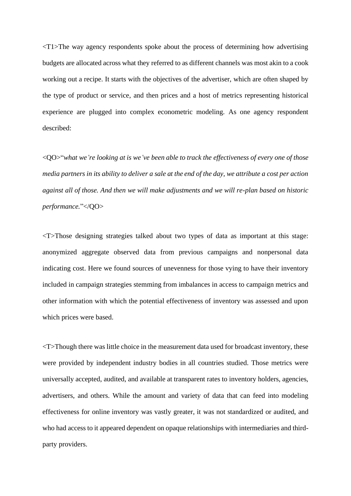<T1>The way agency respondents spoke about the process of determining how advertising budgets are allocated across what they referred to as different channels was most akin to a cook working out a recipe. It starts with the objectives of the advertiser, which are often shaped by the type of product or service, and then prices and a host of metrics representing historical experience are plugged into complex econometric modeling. As one agency respondent described:

<QO>"*what we're looking at is we've been able to track the effectiveness of every one of those media partners in its ability to deliver a sale at the end of the day, we attribute a cost per action against all of those. And then we will make adjustments and we will re-plan based on historic performance.*"</QO>

<T>Those designing strategies talked about two types of data as important at this stage: anonymized aggregate observed data from previous campaigns and nonpersonal data indicating cost. Here we found sources of unevenness for those vying to have their inventory included in campaign strategies stemming from imbalances in access to campaign metrics and other information with which the potential effectiveness of inventory was assessed and upon which prices were based.

<T>Though there was little choice in the measurement data used for broadcast inventory, these were provided by independent industry bodies in all countries studied. Those metrics were universally accepted, audited, and available at transparent rates to inventory holders, agencies, advertisers, and others. While the amount and variety of data that can feed into modeling effectiveness for online inventory was vastly greater, it was not standardized or audited, and who had access to it appeared dependent on opaque relationships with intermediaries and thirdparty providers.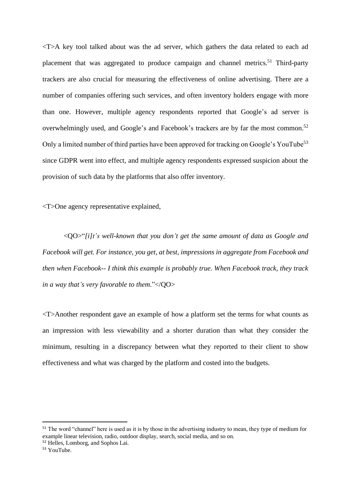<T>A key tool talked about was the ad server, which gathers the data related to each ad placement that was aggregated to produce campaign and channel metrics.<sup>51</sup> Third-party trackers are also crucial for measuring the effectiveness of online advertising. There are a number of companies offering such services, and often inventory holders engage with more than one. However, multiple agency respondents reported that Google's ad server is overwhelmingly used, and Google's and Facebook's trackers are by far the most common.<sup>52</sup> Only a limited number of third parties have been approved for tracking on Google's YouTube<sup>53</sup> since GDPR went into effect, and multiple agency respondents expressed suspicion about the provision of such data by the platforms that also offer inventory.

<T>One agency representative explained,

<QO>"*[i]t's well-known that you don't get the same amount of data as Google and Facebook will get. For instance, you get, at best, impressions in aggregate from Facebook and then when Facebook-- I think this example is probably true. When Facebook track, they track in a way that's very favorable to them*."</QO>

<T>Another respondent gave an example of how a platform set the terms for what counts as an impression with less viewability and a shorter duration than what they consider the minimum, resulting in a discrepancy between what they reported to their client to show effectiveness and what was charged by the platform and costed into the budgets.

<sup>&</sup>lt;sup>51</sup> The word "channel" here is used as it is by those in the advertising industry to mean, they type of medium for example linear television, radio, outdoor display, search, social media, and so on.

<sup>52</sup> Helles, Lomborg, and Sophos Lai.

<sup>53</sup> YouTube.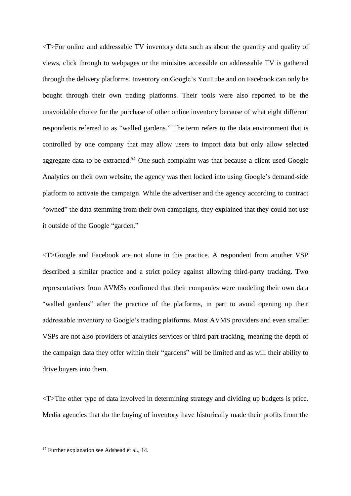<T>For online and addressable TV inventory data such as about the quantity and quality of views, click through to webpages or the minisites accessible on addressable TV is gathered through the delivery platforms. Inventory on Google's YouTube and on Facebook can only be bought through their own trading platforms. Their tools were also reported to be the unavoidable choice for the purchase of other online inventory because of what eight different respondents referred to as "walled gardens." The term refers to the data environment that is controlled by one company that may allow users to import data but only allow selected aggregate data to be extracted.<sup>54</sup> One such complaint was that because a client used Google Analytics on their own website, the agency was then locked into using Google's demand-side platform to activate the campaign. While the advertiser and the agency according to contract "owned" the data stemming from their own campaigns, they explained that they could not use it outside of the Google "garden."

<T>Google and Facebook are not alone in this practice. A respondent from another VSP described a similar practice and a strict policy against allowing third-party tracking. Two representatives from AVMSs confirmed that their companies were modeling their own data "walled gardens" after the practice of the platforms, in part to avoid opening up their addressable inventory to Google's trading platforms. Most AVMS providers and even smaller VSPs are not also providers of analytics services or third part tracking, meaning the depth of the campaign data they offer within their "gardens" will be limited and as will their ability to drive buyers into them.

<T>The other type of data involved in determining strategy and dividing up budgets is price. Media agencies that do the buying of inventory have historically made their profits from the

<sup>54</sup> Further explanation see Adshead et al., 14.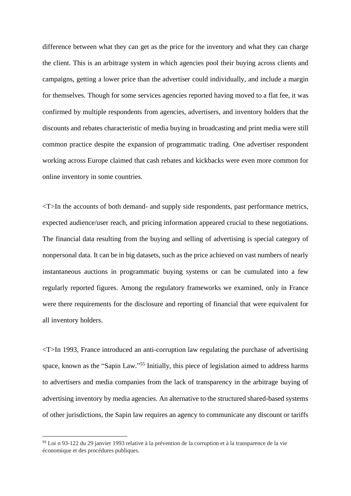difference between what they can get as the price for the inventory and what they can charge the client. This is an arbitrage system in which agencies pool their buying across clients and campaigns, getting a lower price than the advertiser could individually, and include a margin for themselves. Though for some services agencies reported having moved to a flat fee, it was confirmed by multiple respondents from agencies, advertisers, and inventory holders that the discounts and rebates characteristic of media buying in broadcasting and print media were still common practice despite the expansion of programmatic trading. One advertiser respondent working across Europe claimed that cash rebates and kickbacks were even more common for online inventory in some countries.

<T>In the accounts of both demand- and supply side respondents, past performance metrics, expected audience/user reach, and pricing information appeared crucial to these negotiations. The financial data resulting from the buying and selling of advertising is special category of nonpersonal data. It can be in big datasets, such as the price achieved on vast numbers of nearly instantaneous auctions in programmatic buying systems or can be cumulated into a few regularly reported figures. Among the regulatory frameworks we examined, only in France were there requirements for the disclosure and reporting of financial that were equivalent for all inventory holders.

<T>In 1993, France introduced an anti-corruption law regulating the purchase of advertising space, known as the "Sapin Law."<sup>55</sup> Initially, this piece of legislation aimed to address harms to advertisers and media companies from the lack of transparency in the arbitrage buying of advertising inventory by media agencies. An alternative to the structured shared-based systems of other jurisdictions, the Sapin law requires an agency to communicate any discount or tariffs

<sup>55</sup> Loi n 93-122 du 29 janvier 1993 relative à la prévention de la corruption et à la transparence de la vie économique et des procédures publiques.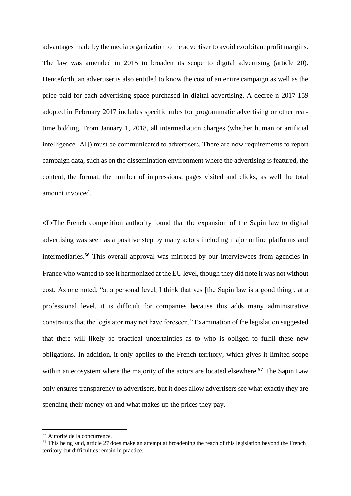advantages made by the media organization to the advertiser to avoid exorbitant profit margins. The law was amended in 2015 to broaden its scope to digital advertising (article 20). Henceforth, an advertiser is also entitled to know the cost of an entire campaign as well as the price paid for each advertising space purchased in digital advertising. A decree n 2017-159 adopted in February 2017 includes specific rules for programmatic advertising or other realtime bidding. From January 1, 2018, all intermediation charges (whether human or artificial intelligence [AI]) must be communicated to advertisers. There are now requirements to report campaign data, such as on the dissemination environment where the advertising is featured, the content, the format, the number of impressions, pages visited and clicks, as well the total amount invoiced.

<T>The French competition authority found that the expansion of the Sapin law to digital advertising was seen as a positive step by many actors including major online platforms and intermediaries. <sup>56</sup> This overall approval was mirrored by our interviewees from agencies in France who wanted to see it harmonized at the EU level, though they did note it was not without cost. As one noted, "at a personal level, I think that yes [the Sapin law is a good thing], at a professional level, it is difficult for companies because this adds many administrative constraints that the legislator may not have foreseen." Examination of the legislation suggested that there will likely be practical uncertainties as to who is obliged to fulfil these new obligations. In addition, it only applies to the French territory, which gives it limited scope within an ecosystem where the majority of the actors are located elsewhere.<sup>57</sup> The Sapin Law only ensures transparency to advertisers, but it does allow advertisers see what exactly they are spending their money on and what makes up the prices they pay.

<sup>56</sup> Autorité de la concurrence.

<sup>&</sup>lt;sup>57</sup> This being said, article 27 does make an attempt at broadening the reach of this legislation beyond the French territory but difficulties remain in practice.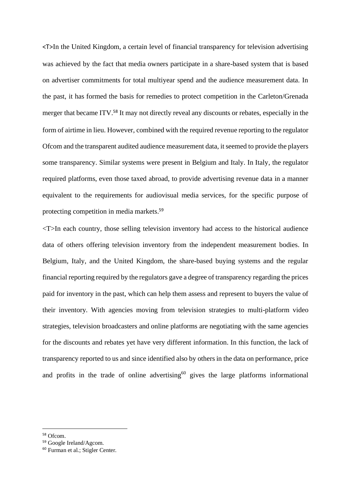<T>In the United Kingdom, a certain level of financial transparency for television advertising was achieved by the fact that media owners participate in a share-based system that is based on advertiser commitments for total multiyear spend and the audience measurement data. In the past, it has formed the basis for remedies to protect competition in the Carleton/Grenada merger that became ITV.<sup>58</sup> It may not directly reveal any discounts or rebates, especially in the form of airtime in lieu. However, combined with the required revenue reporting to the regulator Ofcom and the transparent audited audience measurement data, it seemed to provide the players some transparency. Similar systems were present in Belgium and Italy. In Italy, the regulator required platforms, even those taxed abroad, to provide advertising revenue data in a manner equivalent to the requirements for audiovisual media services, for the specific purpose of protecting competition in media markets.<sup>59</sup>

<T>In each country, those selling television inventory had access to the historical audience data of others offering television inventory from the independent measurement bodies. In Belgium, Italy, and the United Kingdom, the share-based buying systems and the regular financial reporting required by the regulators gave a degree of transparency regarding the prices paid for inventory in the past, which can help them assess and represent to buyers the value of their inventory. With agencies moving from television strategies to multi-platform video strategies, television broadcasters and online platforms are negotiating with the same agencies for the discounts and rebates yet have very different information. In this function, the lack of transparency reported to us and since identified also by others in the data on performance, price and profits in the trade of online advertising<sup>60</sup> gives the large platforms informational

<sup>58</sup> Ofcom.

<sup>59</sup> Google Ireland/Agcom.

<sup>60</sup> Furman et al.; Stigler Center.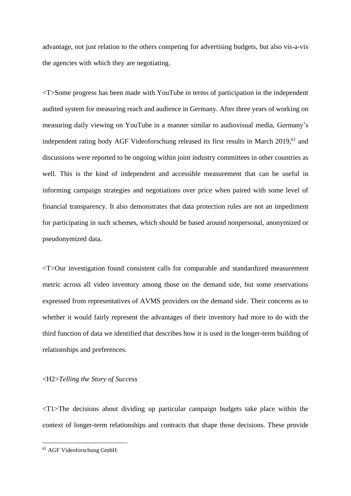advantage, not just relation to the others competing for advertising budgets, but also vis-a-vis the agencies with which they are negotiating.

<T>Some progress has been made with YouTube in terms of participation in the independent audited system for measuring reach and audience in Germany. After three years of working on measuring daily viewing on YouTube in a manner similar to audiovisual media, Germany's independent rating body AGF Videoforschung released its first results in March 2019, <sup>61</sup> and discussions were reported to be ongoing within joint industry committees in other countries as well. This is the kind of independent and accessible measurement that can be useful in informing campaign strategies and negotiations over price when paired with some level of financial transparency. It also demonstrates that data protection rules are not an impediment for participating in such schemes, which should be based around nonpersonal, anonymized or pseudonymized data.

<T>Our investigation found consistent calls for comparable and standardized measurement metric across all video inventory among those on the demand side, but some reservations expressed from representatives of AVMS providers on the demand side. Their concerns as to whether it would fairly represent the advantages of their inventory had more to do with the third function of data we identified that describes how it is used in the longer-term building of relationships and preferences.

## <H2>*Telling the Story of Success*

<T1>The decisions about dividing up particular campaign budgets take place within the context of longer-term relationships and contracts that shape those decisions. These provide

<sup>61</sup> AGF Videoforschung GmbH.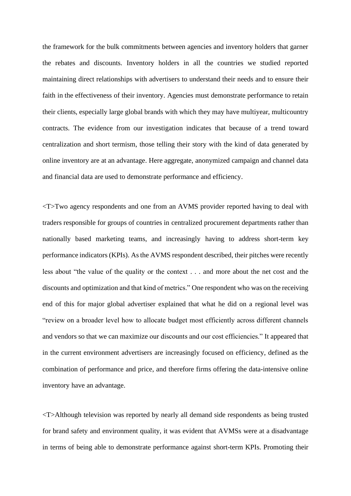the framework for the bulk commitments between agencies and inventory holders that garner the rebates and discounts. Inventory holders in all the countries we studied reported maintaining direct relationships with advertisers to understand their needs and to ensure their faith in the effectiveness of their inventory. Agencies must demonstrate performance to retain their clients, especially large global brands with which they may have multiyear, multicountry contracts. The evidence from our investigation indicates that because of a trend toward centralization and short termism, those telling their story with the kind of data generated by online inventory are at an advantage. Here aggregate, anonymized campaign and channel data and financial data are used to demonstrate performance and efficiency.

<T>Two agency respondents and one from an AVMS provider reported having to deal with traders responsible for groups of countries in centralized procurement departments rather than nationally based marketing teams, and increasingly having to address short-term key performance indicators (KPIs). As the AVMS respondent described, their pitches were recently less about "the value of the quality or the context . . . and more about the net cost and the discounts and optimization and that kind of metrics." One respondent who was on the receiving end of this for major global advertiser explained that what he did on a regional level was "review on a broader level how to allocate budget most efficiently across different channels and vendors so that we can maximize our discounts and our cost efficiencies." It appeared that in the current environment advertisers are increasingly focused on efficiency, defined as the combination of performance and price, and therefore firms offering the data-intensive online inventory have an advantage.

<T>Although television was reported by nearly all demand side respondents as being trusted for brand safety and environment quality, it was evident that AVMSs were at a disadvantage in terms of being able to demonstrate performance against short-term KPIs. Promoting their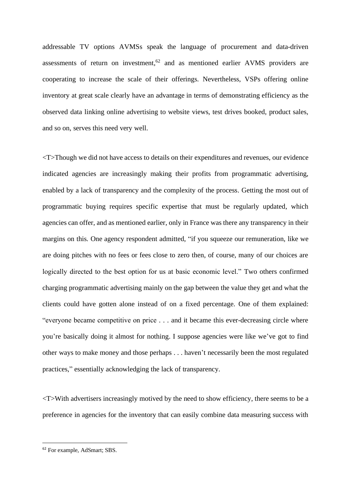addressable TV options AVMSs speak the language of procurement and data-driven assessments of return on investment, $62$  and as mentioned earlier AVMS providers are cooperating to increase the scale of their offerings. Nevertheless, VSPs offering online inventory at great scale clearly have an advantage in terms of demonstrating efficiency as the observed data linking online advertising to website views, test drives booked, product sales, and so on, serves this need very well.

<T>Though we did not have access to details on their expenditures and revenues, our evidence indicated agencies are increasingly making their profits from programmatic advertising, enabled by a lack of transparency and the complexity of the process. Getting the most out of programmatic buying requires specific expertise that must be regularly updated, which agencies can offer, and as mentioned earlier, only in France was there any transparency in their margins on this. One agency respondent admitted, "if you squeeze our remuneration, like we are doing pitches with no fees or fees close to zero then, of course, many of our choices are logically directed to the best option for us at basic economic level." Two others confirmed charging programmatic advertising mainly on the gap between the value they get and what the clients could have gotten alone instead of on a fixed percentage. One of them explained: "everyone became competitive on price . . . and it became this ever-decreasing circle where you're basically doing it almost for nothing. I suppose agencies were like we've got to find other ways to make money and those perhaps . . . haven't necessarily been the most regulated practices," essentially acknowledging the lack of transparency.

<T>With advertisers increasingly motived by the need to show efficiency, there seems to be a preference in agencies for the inventory that can easily combine data measuring success with

<sup>62</sup> For example, AdSmart; SBS.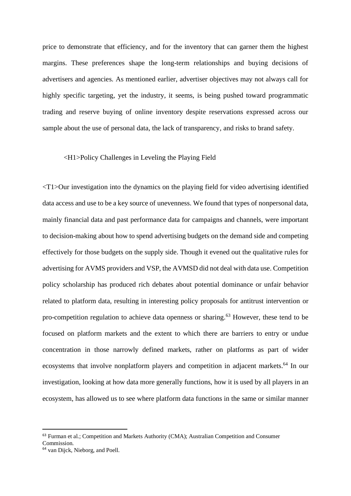price to demonstrate that efficiency, and for the inventory that can garner them the highest margins. These preferences shape the long-term relationships and buying decisions of advertisers and agencies. As mentioned earlier, advertiser objectives may not always call for highly specific targeting, yet the industry, it seems, is being pushed toward programmatic trading and reserve buying of online inventory despite reservations expressed across our sample about the use of personal data, the lack of transparency, and risks to brand safety.

## <H1>Policy Challenges in Leveling the Playing Field

<T1>Our investigation into the dynamics on the playing field for video advertising identified data access and use to be a key source of unevenness. We found that types of nonpersonal data, mainly financial data and past performance data for campaigns and channels, were important to decision-making about how to spend advertising budgets on the demand side and competing effectively for those budgets on the supply side. Though it evened out the qualitative rules for advertising for AVMS providers and VSP, the AVMSD did not deal with data use. Competition policy scholarship has produced rich debates about potential dominance or unfair behavior related to platform data, resulting in interesting policy proposals for antitrust intervention or pro-competition regulation to achieve data openness or sharing.<sup>63</sup> However, these tend to be focused on platform markets and the extent to which there are barriers to entry or undue concentration in those narrowly defined markets, rather on platforms as part of wider ecosystems that involve nonplatform players and competition in adjacent markets.<sup>64</sup> In our investigation, looking at how data more generally functions, how it is used by all players in an ecosystem, has allowed us to see where platform data functions in the same or similar manner

<sup>63</sup> Furman et al.; Competition and Markets Authority (CMA); Australian Competition and Consumer Commission.

<sup>64</sup> van Dijck, Nieborg, and Poell.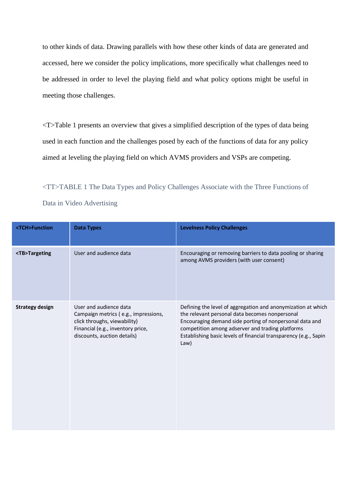to other kinds of data. Drawing parallels with how these other kinds of data are generated and accessed, here we consider the policy implications, more specifically what challenges need to be addressed in order to level the playing field and what policy options might be useful in meeting those challenges.

<T>Table 1 presents an overview that gives a simplified description of the types of data being used in each function and the challenges posed by each of the functions of data for any policy aimed at leveling the playing field on which AVMS providers and VSPs are competing.

<TT>TABLE 1 The Data Types and Policy Challenges Associate with the Three Functions of Data in Video Advertising

| <tch>Function</tch>    | <b>Data Types</b>                                                                                                                                                  | <b>Levelness Policy Challenges</b>                                                                                                                                                                                                                                                                        |
|------------------------|--------------------------------------------------------------------------------------------------------------------------------------------------------------------|-----------------------------------------------------------------------------------------------------------------------------------------------------------------------------------------------------------------------------------------------------------------------------------------------------------|
| <tb>Targeting</tb>     | User and audience data                                                                                                                                             | Encouraging or removing barriers to data pooling or sharing<br>among AVMS providers (with user consent)                                                                                                                                                                                                   |
| <b>Strategy design</b> | User and audience data<br>Campaign metrics (e.g., impressions,<br>click throughs, viewability)<br>Financial (e.g., inventory price,<br>discounts, auction details) | Defining the level of aggregation and anonymization at which<br>the relevant personal data becomes nonpersonal<br>Encouraging demand side porting of nonpersonal data and<br>competition among adserver and trading platforms<br>Establishing basic levels of financial transparency (e.g., Sapin<br>Law) |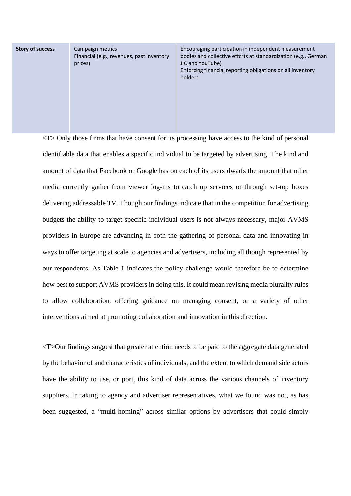**Story of success** Campaign metrics

Financial (e.g., revenues, past inventory prices)

Encouraging participation in independent measurement bodies and collective efforts at standardization (e.g., German JIC and YouTube) Enforcing financial reporting obligations on all inventory holders

 $\langle T \rangle$  Only those firms that have consent for its processing have access to the kind of personal identifiable data that enables a specific individual to be targeted by advertising. The kind and amount of data that Facebook or Google has on each of its users dwarfs the amount that other media currently gather from viewer log-ins to catch up services or through set-top boxes delivering addressable TV. Though our findings indicate that in the competition for advertising budgets the ability to target specific individual users is not always necessary, major AVMS providers in Europe are advancing in both the gathering of personal data and innovating in ways to offer targeting at scale to agencies and advertisers, including all though represented by our respondents. As Table 1 indicates the policy challenge would therefore be to determine how best to support AVMS providers in doing this. It could mean revising media plurality rules to allow collaboration, offering guidance on managing consent, or a variety of other interventions aimed at promoting collaboration and innovation in this direction.

<T>Our findings suggest that greater attention needs to be paid to the aggregate data generated by the behavior of and characteristics of individuals, and the extent to which demand side actors have the ability to use, or port, this kind of data across the various channels of inventory suppliers. In taking to agency and advertiser representatives, what we found was not, as has been suggested, a "multi-homing" across similar options by advertisers that could simply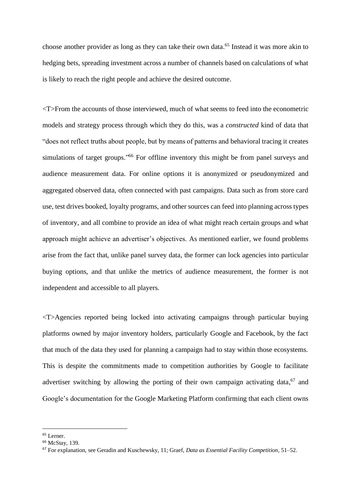choose another provider as long as they can take their own data. <sup>65</sup> Instead it was more akin to hedging bets, spreading investment across a number of channels based on calculations of what is likely to reach the right people and achieve the desired outcome.

<T>From the accounts of those interviewed, much of what seems to feed into the econometric models and strategy process through which they do this, was a *constructed* kind of data that "does not reflect truths about people, but by means of patterns and behavioral tracing it creates simulations of target groups."<sup>66</sup> For offline inventory this might be from panel surveys and audience measurement data. For online options it is anonymized or pseudonymized and aggregated observed data, often connected with past campaigns. Data such as from store card use, test drives booked, loyalty programs, and other sources can feed into planning across types of inventory, and all combine to provide an idea of what might reach certain groups and what approach might achieve an advertiser's objectives. As mentioned earlier, we found problems arise from the fact that, unlike panel survey data, the former can lock agencies into particular buying options, and that unlike the metrics of audience measurement, the former is not independent and accessible to all players.

<T>Agencies reported being locked into activating campaigns through particular buying platforms owned by major inventory holders, particularly Google and Facebook, by the fact that much of the data they used for planning a campaign had to stay within those ecosystems. This is despite the commitments made to competition authorities by Google to facilitate advertiser switching by allowing the porting of their own campaign activating data,<sup>67</sup> and Google's documentation for the Google Marketing Platform confirming that each client owns

<sup>65</sup> Lerner.

<sup>66</sup> McStay, 139.

<sup>67</sup> For explanation, see Geradin and Kuschewsky, 11; Graef, *Data as Essential Facility Competition*, 51–52.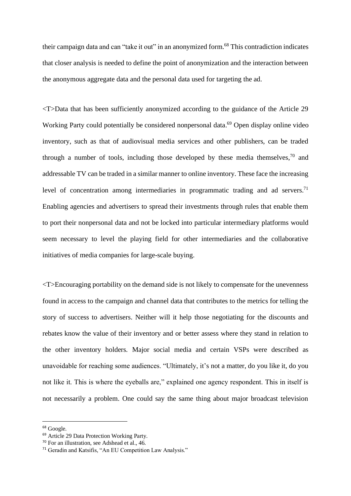their campaign data and can "take it out" in an anonymized form.<sup>68</sup> This contradiction indicates that closer analysis is needed to define the point of anonymization and the interaction between the anonymous aggregate data and the personal data used for targeting the ad.

<T>Data that has been sufficiently anonymized according to the guidance of the Article 29 Working Party could potentially be considered nonpersonal data.<sup>69</sup> Open display online video inventory, such as that of audiovisual media services and other publishers, can be traded through a number of tools, including those developed by these media themselves, $70$  and addressable TV can be traded in a similar manner to online inventory. These face the increasing level of concentration among intermediaries in programmatic trading and ad servers.<sup>71</sup> Enabling agencies and advertisers to spread their investments through rules that enable them to port their nonpersonal data and not be locked into particular intermediary platforms would seem necessary to level the playing field for other intermediaries and the collaborative initiatives of media companies for large-scale buying.

<T>Encouraging portability on the demand side is not likely to compensate for the unevenness found in access to the campaign and channel data that contributes to the metrics for telling the story of success to advertisers. Neither will it help those negotiating for the discounts and rebates know the value of their inventory and or better assess where they stand in relation to the other inventory holders. Major social media and certain VSPs were described as unavoidable for reaching some audiences. "Ultimately, it's not a matter, do you like it, do you not like it. This is where the eyeballs are," explained one agency respondent. This in itself is not necessarily a problem. One could say the same thing about major broadcast television

<sup>68</sup> Google.

<sup>69</sup> Article 29 Data Protection Working Party.

<sup>70</sup> For an illustration, see Adshead et al., 46.

<sup>71</sup> Geradin and Katsifis, "An EU Competition Law Analysis."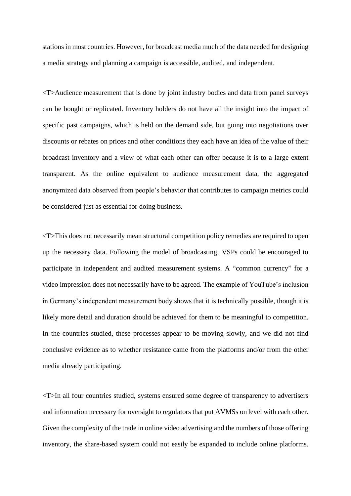stations in most countries. However, for broadcast media much of the data needed for designing a media strategy and planning a campaign is accessible, audited, and independent.

<T>Audience measurement that is done by joint industry bodies and data from panel surveys can be bought or replicated. Inventory holders do not have all the insight into the impact of specific past campaigns, which is held on the demand side, but going into negotiations over discounts or rebates on prices and other conditions they each have an idea of the value of their broadcast inventory and a view of what each other can offer because it is to a large extent transparent. As the online equivalent to audience measurement data, the aggregated anonymized data observed from people's behavior that contributes to campaign metrics could be considered just as essential for doing business.

<T>This does not necessarily mean structural competition policy remedies are required to open up the necessary data. Following the model of broadcasting, VSPs could be encouraged to participate in independent and audited measurement systems. A "common currency" for a video impression does not necessarily have to be agreed. The example of YouTube's inclusion in Germany's independent measurement body shows that it is technically possible, though it is likely more detail and duration should be achieved for them to be meaningful to competition. In the countries studied, these processes appear to be moving slowly, and we did not find conclusive evidence as to whether resistance came from the platforms and/or from the other media already participating.

<T>In all four countries studied, systems ensured some degree of transparency to advertisers and information necessary for oversight to regulators that put AVMSs on level with each other. Given the complexity of the trade in online video advertising and the numbers of those offering inventory, the share-based system could not easily be expanded to include online platforms.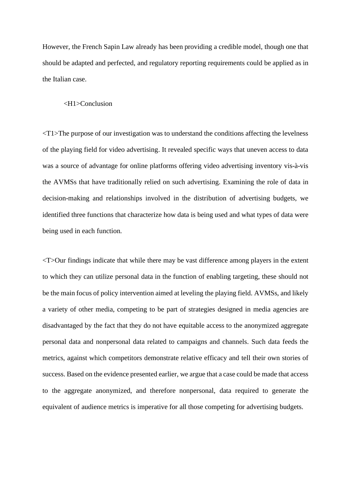However, the French Sapin Law already has been providing a credible model, though one that should be adapted and perfected, and regulatory reporting requirements could be applied as in the Italian case.

#### <H1>Conclusion

<T1>The purpose of our investigation was to understand the conditions affecting the levelness of the playing field for video advertising. It revealed specific ways that uneven access to data was a source of advantage for online platforms offering video advertising inventory vis-à-vis the AVMSs that have traditionally relied on such advertising. Examining the role of data in decision-making and relationships involved in the distribution of advertising budgets, we identified three functions that characterize how data is being used and what types of data were being used in each function.

<T>Our findings indicate that while there may be vast difference among players in the extent to which they can utilize personal data in the function of enabling targeting, these should not be the main focus of policy intervention aimed at leveling the playing field. AVMSs, and likely a variety of other media, competing to be part of strategies designed in media agencies are disadvantaged by the fact that they do not have equitable access to the anonymized aggregate personal data and nonpersonal data related to campaigns and channels. Such data feeds the metrics, against which competitors demonstrate relative efficacy and tell their own stories of success. Based on the evidence presented earlier, we argue that a case could be made that access to the aggregate anonymized, and therefore nonpersonal, data required to generate the equivalent of audience metrics is imperative for all those competing for advertising budgets.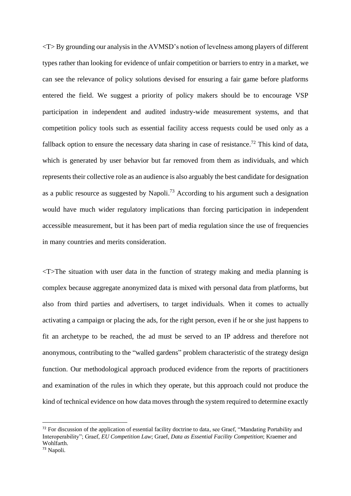$\langle T \rangle$  By grounding our analysis in the AVMSD's notion of levelness among players of different types rather than looking for evidence of unfair competition or barriers to entry in a market, we can see the relevance of policy solutions devised for ensuring a fair game before platforms entered the field. We suggest a priority of policy makers should be to encourage VSP participation in independent and audited industry-wide measurement systems, and that competition policy tools such as essential facility access requests could be used only as a fallback option to ensure the necessary data sharing in case of resistance.<sup>72</sup> This kind of data, which is generated by user behavior but far removed from them as individuals, and which represents their collective role as an audience is also arguably the best candidate for designation as a public resource as suggested by Napoli.<sup>73</sup> According to his argument such a designation would have much wider regulatory implications than forcing participation in independent accessible measurement, but it has been part of media regulation since the use of frequencies in many countries and merits consideration.

<T>The situation with user data in the function of strategy making and media planning is complex because aggregate anonymized data is mixed with personal data from platforms, but also from third parties and advertisers, to target individuals. When it comes to actually activating a campaign or placing the ads, for the right person, even if he or she just happens to fit an archetype to be reached, the ad must be served to an IP address and therefore not anonymous, contributing to the "walled gardens" problem characteristic of the strategy design function. Our methodological approach produced evidence from the reports of practitioners and examination of the rules in which they operate, but this approach could not produce the kind of technical evidence on how data moves through the system required to determine exactly

 $72$  For discussion of the application of essential facility doctrine to data, see Graef, "Mandating Portability and Interoperability"; Graef, *EU Competition Law*; Graef, *Data as Essential Facility Competition*; Kraemer and Wohlfarth.

<sup>73</sup> Napoli.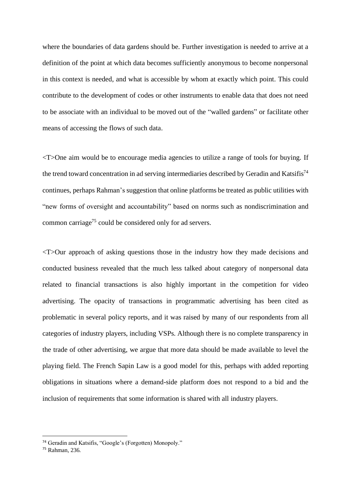where the boundaries of data gardens should be. Further investigation is needed to arrive at a definition of the point at which data becomes sufficiently anonymous to become nonpersonal in this context is needed, and what is accessible by whom at exactly which point. This could contribute to the development of codes or other instruments to enable data that does not need to be associate with an individual to be moved out of the "walled gardens" or facilitate other means of accessing the flows of such data.

<T>One aim would be to encourage media agencies to utilize a range of tools for buying. If the trend toward concentration in ad serving intermediaries described by Geradin and Katsifis<sup>74</sup> continues, perhaps Rahman's suggestion that online platforms be treated as public utilities with "new forms of oversight and accountability" based on norms such as nondiscrimination and common carriage<sup>75</sup> could be considered only for ad servers.

<T>Our approach of asking questions those in the industry how they made decisions and conducted business revealed that the much less talked about category of nonpersonal data related to financial transactions is also highly important in the competition for video advertising. The opacity of transactions in programmatic advertising has been cited as problematic in several policy reports, and it was raised by many of our respondents from all categories of industry players, including VSPs. Although there is no complete transparency in the trade of other advertising, we argue that more data should be made available to level the playing field. The French Sapin Law is a good model for this, perhaps with added reporting obligations in situations where a demand-side platform does not respond to a bid and the inclusion of requirements that some information is shared with all industry players.

<sup>74</sup> Geradin and Katsifis, "Google's (Forgotten) Monopoly."

<sup>75</sup> Rahman, 236.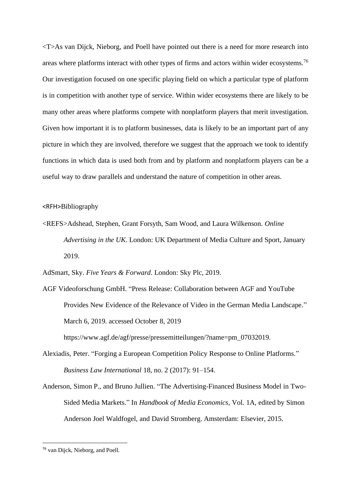<T>As van Dijck, Nieborg, and Poell have pointed out there is a need for more research into areas where platforms interact with other types of firms and actors within wider ecosystems.<sup>76</sup> Our investigation focused on one specific playing field on which a particular type of platform is in competition with another type of service. Within wider ecosystems there are likely to be many other areas where platforms compete with nonplatform players that merit investigation. Given how important it is to platform businesses, data is likely to be an important part of any picture in which they are involved, therefore we suggest that the approach we took to identify functions in which data is used both from and by platform and nonplatform players can be a useful way to draw parallels and understand the nature of competition in other areas.

## <RFH>Bibliography

<REFS>Adshead, Stephen, Grant Forsyth, Sam Wood, and Laura Wilkenson. *Online Advertising in the UK*. London: UK Department of Media Culture and Sport, January 2019.

AdSmart, Sky. *Five Years & Forward*. London: Sky Plc, 2019.

- AGF Videoforschung GmbH. "Press Release: Collaboration between AGF and YouTube Provides New Evidence of the Relevance of Video in the German Media Landscape." March 6, 2019. accessed October 8, 2019 https://www.agf.de/agf/presse/pressemitteilungen/?name=pm\_07032019.
- Alexiadis, Peter. "Forging a European Competition Policy Response to Online Platforms." *Business Law International* 18, no. 2 (2017): 91–154.
- Anderson, Simon P., and Bruno Jullien. "The Advertising-Financed Business Model in Two-Sided Media Markets." In *Handbook of Media Economics,* Vol. 1A, edited by Simon Anderson Joel Waldfogel, and David Stromberg. Amsterdam: Elsevier, 2015.

<sup>76</sup> van Dijck, Nieborg, and Poell.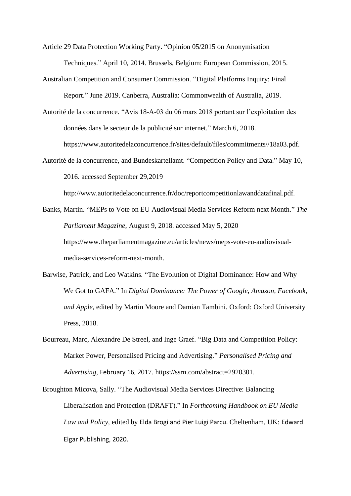Article 29 Data Protection Working Party. "Opinion 05/2015 on Anonymisation Techniques." April 10, 2014. Brussels, Belgium: European Commission, 2015.

Australian Competition and Consumer Commission. "Digital Platforms Inquiry: Final Report." June 2019. Canberra, Australia: Commonwealth of Australia, 2019.

Autorité de la concurrence. "Avis 18-A-03 du 06 mars 2018 portant sur l'exploitation des données dans le secteur de la publicité sur internet." March 6, 2018. https://www.autoritedelaconcurrence.fr/sites/default/files/commitments//18a03.pdf.

Autorité de la concurrence, and Bundeskartellamt. "Competition Policy and Data." May 10, 2016. accessed September 29,2019

http://www.autoritedelaconcurrence.fr/doc/reportcompetitionlawanddatafinal.pdf.

- Banks, Martin. "MEPs to Vote on EU Audiovisual Media Services Reform next Month." *The Parliament Magazine*, August 9, 2018. accessed May 5, 2020 https://www.theparliamentmagazine.eu/articles/news/meps-vote-eu-audiovisualmedia-services-reform-next-month.
- Barwise, Patrick, and Leo Watkins. "The Evolution of Digital Dominance: How and Why We Got to GAFA." In *Digital Dominance: The Power of Google, Amazon, Facebook, and Apple*, edited by Martin Moore and Damian Tambini. Oxford: Oxford University Press, 2018.
- Bourreau, Marc, Alexandre De Streel, and Inge Graef. "Big Data and Competition Policy: Market Power, Personalised Pricing and Advertising." *Personalised Pricing and Advertising*, February 16, 2017. https://ssrn.com/abstract=2920301.
- Broughton Micova, Sally. "The Audiovisual Media Services Directive: Balancing Liberalisation and Protection (DRAFT)." In *Forthcoming Handbook on EU Media Law and Policy,* edited by Elda Brogi and Pier Luigi Parcu. Cheltenham, UK: Edward Elgar Publishing, 2020.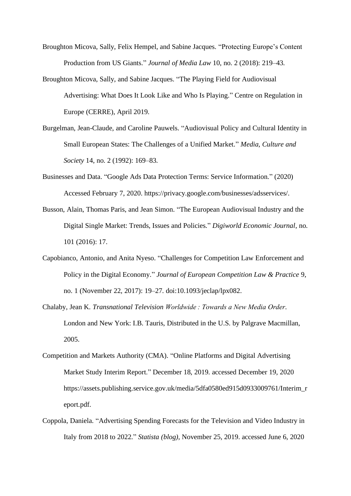- Broughton Micova, Sally, Felix Hempel, and Sabine Jacques. "Protecting Europe's Content Production from US Giants." *Journal of Media Law* 10, no. 2 (2018): 219–43.
- Broughton Micova, Sally, and Sabine Jacques. "The Playing Field for Audiovisual Advertising: What Does It Look Like and Who Is Playing." Centre on Regulation in Europe (CERRE), April 2019.
- Burgelman, Jean-Claude, and Caroline Pauwels. "Audiovisual Policy and Cultural Identity in Small European States: The Challenges of a Unified Market." *Media, Culture and Society* 14, no. 2 (1992): 169–83.
- Businesses and Data. "Google Ads Data Protection Terms: Service Information." (2020) Accessed February 7, 2020. https://privacy.google.com/businesses/adsservices/.
- Busson, Alain, Thomas Paris, and Jean Simon. "The European Audiovisual Industry and the Digital Single Market: Trends, Issues and Policies." *Digiworld Economic Journal*, no. 101 (2016): 17.
- Capobianco, Antonio, and Anita Nyeso. "Challenges for Competition Law Enforcement and Policy in the Digital Economy." *Journal of European Competition Law & Practice* 9, no. 1 (November 22, 2017): 19–27. doi:10.1093/jeclap/lpx082.
- Chalaby, Jean K. *Transnational Television Worldwide : Towards a New Media Order*. London and New York: I.B. Tauris, Distributed in the U.S. by Palgrave Macmillan, 2005.
- Competition and Markets Authority (CMA). "Online Platforms and Digital Advertising Market Study Interim Report." December 18, 2019. accessed December 19, 2020 https://assets.publishing.service.gov.uk/media/5dfa0580ed915d0933009761/Interim\_r eport.pdf.
- Coppola, Daniela. "Advertising Spending Forecasts for the Television and Video Industry in Italy from 2018 to 2022." *Statista (blog)*, November 25, 2019. accessed June 6, 2020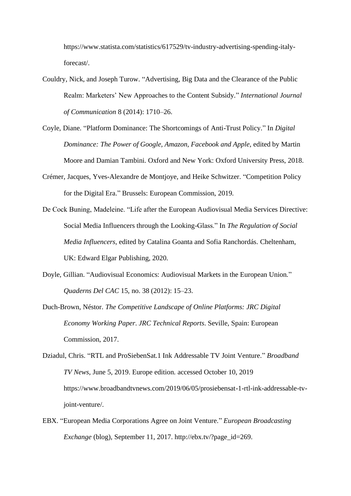https://www.statista.com/statistics/617529/tv-industry-advertising-spending-italyforecast/.

- Couldry, Nick, and Joseph Turow. "Advertising, Big Data and the Clearance of the Public Realm: Marketers' New Approaches to the Content Subsidy." *International Journal of Communication* 8 (2014): 1710–26.
- Coyle, Diane. "Platform Dominance: The Shortcomings of Anti-Trust Policy." In *Digital Dominance: The Power of Google, Amazon, Facebook and Apple*, edited by Martin Moore and Damian Tambini. Oxford and New York: Oxford University Press, 2018.
- Crémer, Jacques, Yves-Alexandre de Montjoye, and Heike Schwitzer. "Competition Policy for the Digital Era." Brussels: European Commission, 2019.
- De Cock Buning, Madeleine. "Life after the European Audiovisual Media Services Directive: Social Media Influencers through the Looking-Glass." In *The Regulation of Social Media Influencers,* edited by Catalina Goanta and Sofia Ranchordás. Cheltenham, UK: Edward Elgar Publishing, 2020.
- Doyle, Gillian. "Audiovisual Economics: Audiovisual Markets in the European Union." *Quaderns Del CAC* 15, no. 38 (2012): 15–23.
- Duch-Brown, Néstor. *The Competitive Landscape of Online Platforms: JRC Digital Economy Working Paper*. *JRC Technical Reports*. Seville, Spain: European Commission, 2017.
- Dziadul, Chris. "RTL and ProSiebenSat.1 Ink Addressable TV Joint Venture." *Broadband TV News*, June 5, 2019. Europe edition. accessed October 10, 2019 https://www.broadbandtvnews.com/2019/06/05/prosiebensat-1-rtl-ink-addressable-tvjoint-venture/.
- EBX. "European Media Corporations Agree on Joint Venture." *European Broadcasting Exchange* (blog), September 11, 2017. http://ebx.tv/?page\_id=269.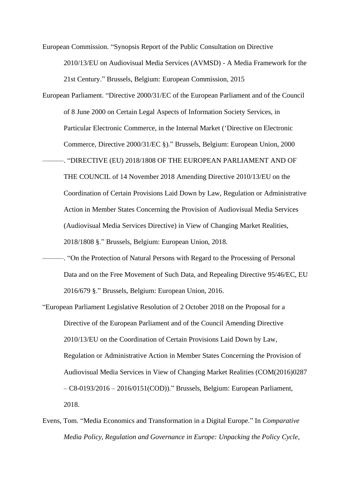European Commission. "Synopsis Report of the Public Consultation on Directive 2010/13/EU on Audiovisual Media Services (AVMSD) - A Media Framework for the 21st Century." Brussels, Belgium: European Commission, 2015

- European Parliament. "Directive 2000/31/EC of the European Parliament and of the Council of 8 June 2000 on Certain Legal Aspects of Information Society Services, in Particular Electronic Commerce, in the Internal Market ('Directive on Electronic Commerce, Directive 2000/31/EC §)." Brussels, Belgium: European Union, 2000 ———. "DIRECTIVE (EU) 2018/1808 OF THE EUROPEAN PARLIAMENT AND OF THE COUNCIL of 14 November 2018 Amending Directive 2010/13/EU on the Coordination of Certain Provisions Laid Down by Law, Regulation or Administrative Action in Member States Concerning the Provision of Audiovisual Media Services (Audiovisual Media Services Directive) in View of Changing Market Realities, 2018/1808 §." Brussels, Belgium: European Union, 2018.
- ———. "On the Protection of Natural Persons with Regard to the Processing of Personal Data and on the Free Movement of Such Data, and Repealing Directive 95/46/EC, EU 2016/679 §." Brussels, Belgium: European Union, 2016.
- "European Parliament Legislative Resolution of 2 October 2018 on the Proposal for a Directive of the European Parliament and of the Council Amending Directive 2010/13/EU on the Coordination of Certain Provisions Laid Down by Law, Regulation or Administrative Action in Member States Concerning the Provision of Audiovisual Media Services in View of Changing Market Realities (COM(2016)0287 – C8-0193/2016 – 2016/0151(COD))." Brussels, Belgium: European Parliament, 2018.
- Evens, Tom. "Media Economics and Transformation in a Digital Europe." In *Comparative Media Policy, Regulation and Governance in Europe: Unpacking the Policy Cycle*,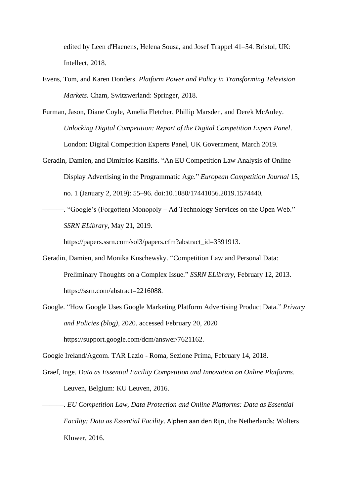edited by Leen d'Haenens, Helena Sousa, and Josef Trappel 41–54. Bristol, UK: Intellect, 2018.

- Evens, Tom, and Karen Donders. *Platform Power and Policy in Transforming Television Markets*. Cham, Switzwerland: Springer, 2018.
- Furman, Jason, Diane Coyle, Amelia Fletcher, Phillip Marsden, and Derek McAuley. *Unlocking Digital Competition: Report of the Digital Competition Expert Panel*. London: Digital Competition Experts Panel, UK Government, March 2019.
- Geradin, Damien, and Dimitrios Katsifis. "An EU Competition Law Analysis of Online Display Advertising in the Programmatic Age." *European Competition Journal* 15, no. 1 (January 2, 2019): 55–96. doi:10.1080/17441056.2019.1574440.
- ———. "Google's (Forgotten) Monopoly Ad Technology Services on the Open Web." *SSRN ELibrary*, May 21, 2019.

https://papers.ssrn.com/sol3/papers.cfm?abstract\_id=3391913.

- Geradin, Damien, and Monika Kuschewsky. "Competition Law and Personal Data: Preliminary Thoughts on a Complex Issue." *SSRN ELibrary*, February 12, 2013. https://ssrn.com/abstract=2216088.
- Google. "How Google Uses Google Marketing Platform Advertising Product Data." *Privacy and Policies (blog)*, 2020. accessed February 20, 2020

https://support.google.com/dcm/answer/7621162.

- Google Ireland/Agcom. TAR Lazio Roma, Sezione Prima, February 14, 2018.
- Graef, Inge. *Data as Essential Facility Competition and Innovation on Online Platforms*. Leuven, Belgium: KU Leuven, 2016.
- ———. *EU Competition Law, Data Protection and Online Platforms: Data as Essential Facility: Data as Essential Facility*. Alphen aan den Rijn, the Netherlands: Wolters Kluwer, 2016.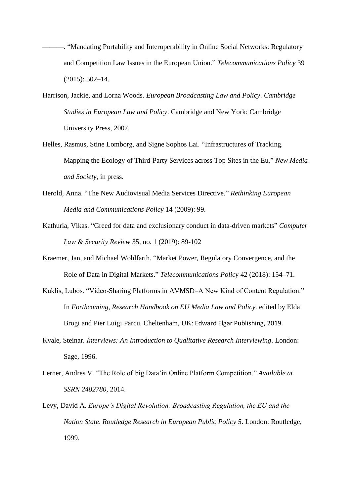- ———. "Mandating Portability and Interoperability in Online Social Networks: Regulatory and Competition Law Issues in the European Union." *Telecommunications Policy* 39 (2015): 502–14.
- Harrison, Jackie, and Lorna Woods. *European Broadcasting Law and Policy*. *Cambridge Studies in European Law and Policy*. Cambridge and New York: Cambridge University Press, 2007.
- Helles, Rasmus, Stine Lomborg, and Signe Sophos Lai. "Infrastructures of Tracking. Mapping the Ecology of Third-Party Services across Top Sites in the Eu." *New Media and Society*, in press.
- Herold, Anna. "The New Audiovisual Media Services Directive." *Rethinking European Media and Communications Policy* 14 (2009): 99.
- Kathuria, Vikas. "Greed for data and exclusionary conduct in data-driven markets" *Computer Law & Security Review* 35, no. 1 (2019): 89-102
- Kraemer, Jan, and Michael Wohlfarth. "Market Power, Regulatory Convergence, and the Role of Data in Digital Markets." *Telecommunications Policy* 42 (2018): 154–71.
- Kuklis, Lubos. "Video-Sharing Platforms in AVMSD–A New Kind of Content Regulation." In *Forthcoming, Research Handbook on EU Media Law and Policy.* edited by Elda Brogi and Pier Luigi Parcu. Cheltenham, UK: Edward Elgar Publishing, 2019.
- Kvale, Steinar. *Interviews: An Introduction to Qualitative Research Interviewing*. London: Sage, 1996.
- Lerner, Andres V. "The Role of'big Data'in Online Platform Competition." *Available at SSRN 2482780*, 2014.
- Levy, David A. *Europe's Digital Revolution: Broadcasting Regulation, the EU and the Nation State*. *Routledge Research in European Public Policy 5*. London: Routledge, 1999.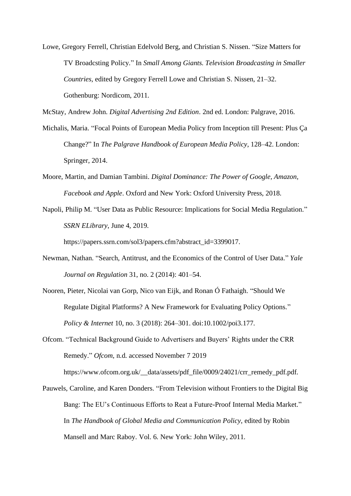Lowe, Gregory Ferrell, Christian Edelvold Berg, and Christian S. Nissen. "Size Matters for TV Broadcsting Policy." In *Small Among Giants. Television Broadcasting in Smaller Countries*, edited by Gregory Ferrell Lowe and Christian S. Nissen, 21–32. Gothenburg: Nordicom, 2011.

McStay, Andrew John. *Digital Advertising 2nd Edition*. 2nd ed. London: Palgrave, 2016.

- Michalis, Maria. "Focal Points of European Media Policy from Inception till Present: Plus Ça Change?" In *The Palgrave Handbook of European Media Policy*, 128–42. London: Springer, 2014.
- Moore, Martin, and Damian Tambini. *Digital Dominance: The Power of Google, Amazon, Facebook and Apple*. Oxford and New York: Oxford University Press, 2018.
- Napoli, Philip M. "User Data as Public Resource: Implications for Social Media Regulation." *SSRN ELibrary*, June 4, 2019.

https://papers.ssrn.com/sol3/papers.cfm?abstract\_id=3399017.

- Newman, Nathan. "Search, Antitrust, and the Economics of the Control of User Data." *Yale Journal on Regulation* 31, no. 2 (2014): 401–54.
- Nooren, Pieter, Nicolai van Gorp, Nico van Eijk, and Ronan Ó Fathaigh. "Should We Regulate Digital Platforms? A New Framework for Evaluating Policy Options." *Policy & Internet* 10, no. 3 (2018): 264–301. doi:10.1002/poi3.177.
- Ofcom. "Technical Background Guide to Advertisers and Buyers' Rights under the CRR Remedy." *Ofcom*, n.d. accessed November 7 2019

https://www.ofcom.org.uk/\_data/assets/pdf\_file/0009/24021/crr\_remedy\_pdf.pdf.

Pauwels, Caroline, and Karen Donders. "From Television without Frontiers to the Digital Big Bang: The EU's Continuous Efforts to Reat a Future-Proof Internal Media Market." In *The Handbook of Global Media and Communication Policy*, edited by Robin Mansell and Marc Raboy. Vol. 6. New York: John Wiley, 2011.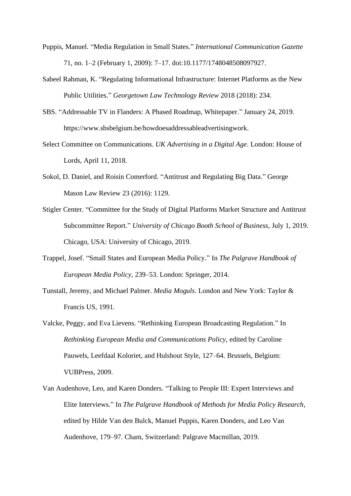- Puppis, Manuel. "Media Regulation in Small States." *International Communication Gazette* 71, no. 1–2 (February 1, 2009): 7–17. doi:10.1177/1748048508097927.
- Sabeel Rahman, K. "Regulating Informational Infrastructure: Internet Platforms as the New Public Utilities." *Georgetown Law Technology Review* 2018 (2018): 234.
- SBS. "Addressable TV in Flanders: A Phased Roadmap, Whitepaper." January 24, 2019. https://www.sbsbelgium.be/howdoesaddressableadvertisingwork.
- Select Committee on Communications. *UK Advertising in a Digital Age*. London: House of Lords, April 11, 2018.
- Sokol, D. Daniel, and Roisin Comerford. "Antitrust and Regulating Big Data." George Mason Law Review 23 (2016): 1129.
- Stigler Center. "Committee for the Study of Digital Platforms Market Structure and Antitrust Subcommittee Report." *University of Chicago Booth School of Business*, July 1, 2019. Chicago, USA: University of Chicago, 2019.
- Trappel, Josef. "Small States and European Media Policy." In *The Palgrave Handbook of European Media Policy*, 239–53. London: Springer, 2014.
- Tunstall, Jeremy, and Michael Palmer. *Media Moguls*. London and New York: Taylor & Francis US, 1991.
- Valcke, Peggy, and Eva Lievens. "Rethinking European Broadcasting Regulation." In *Rethinking European Media and Communications Policy,* edited by Caroline Pauwels, Leefdaal Koloriet, and Hulshout Style, 127–64. Brussels, Belgium: VUBPress, 2009.
- Van Audenhove, Leo, and Karen Donders. "Talking to People III: Expert Interviews and Elite Interviews." In *The Palgrave Handbook of Methods for Media Policy Research*, edited by Hilde Van den Bulck, Manuel Puppis, Karen Donders, and Leo Van Audenhove, 179–97. Cham, Switzerland: Palgrave Macmillan, 2019.